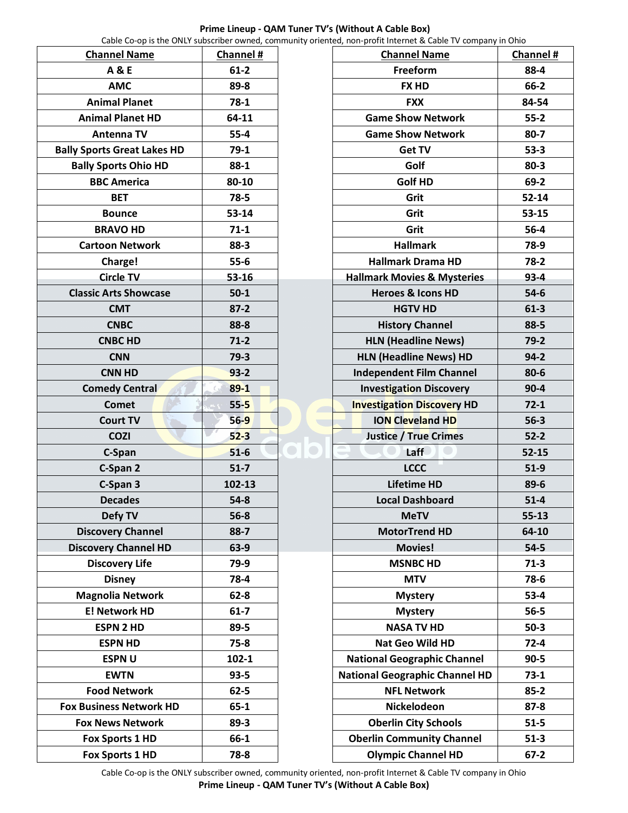| Capie Co-op is the ONLY subscriber owned, Commit |           |  |
|--------------------------------------------------|-----------|--|
| <b>Channel Name</b>                              | Channel # |  |
| <b>A&amp;E</b>                                   | $61 - 2$  |  |
| <b>AMC</b>                                       | 89-8      |  |
| <b>Animal Planet</b>                             | $78-1$    |  |
| <b>Animal Planet HD</b>                          | 64-11     |  |
| Antenna TV                                       | $55 - 4$  |  |
| <b>Bally Sports Great Lakes HD</b>               | $79-1$    |  |
| <b>Bally Sports Ohio HD</b>                      | 88-1      |  |
| <b>BBC America</b>                               | 80-10     |  |
| <b>BET</b>                                       | 78-5      |  |
| <b>Bounce</b>                                    | 53-14     |  |
| <b>BRAVO HD</b>                                  | $71-1$    |  |
| <b>Cartoon Network</b>                           | 88-3      |  |
| Charge!                                          | $55 - 6$  |  |
| <b>Circle TV</b>                                 | 53-16     |  |
| <b>Classic Arts Showcase</b>                     | $50 - 1$  |  |
| <b>CMT</b>                                       | $87 - 2$  |  |
| <b>CNBC</b>                                      | 88-8      |  |
| <b>CNBC HD</b>                                   | $71-2$    |  |
| <b>CNN</b>                                       | 79-3      |  |
| <b>CNN HD</b>                                    | $93 - 2$  |  |
| <b>Comedy Central</b>                            | $89 - 1$  |  |
| Comet                                            | $55 - 5$  |  |
| <b>Court TV</b>                                  | $56 - 9$  |  |
| <b>COZI</b>                                      | $52 - 3$  |  |
| C-Span                                           | $51 - 6$  |  |
| C-Span 2                                         | $51 - 7$  |  |
| C-Span 3                                         | 102-13    |  |
| <b>Decades</b>                                   | $54-8$    |  |
| Defy TV                                          | $56 - 8$  |  |
| <b>Discovery Channel</b>                         | $88-7$    |  |
| <b>Discovery Channel HD</b>                      | 63-9      |  |
| <b>Discovery Life</b>                            | 79-9      |  |
| <b>Disney</b>                                    | 78-4      |  |
| <b>Magnolia Network</b>                          | $62 - 8$  |  |
| <b>E! Network HD</b>                             | $61 - 7$  |  |
| <b>ESPN 2 HD</b>                                 | 89-5      |  |
| <b>ESPN HD</b>                                   | $75 - 8$  |  |
| <b>ESPNU</b>                                     | 102-1     |  |
| <b>EWTN</b>                                      | $93 - 5$  |  |
| <b>Food Network</b>                              | $62 - 5$  |  |
| <b>Fox Business Network HD</b>                   | $65 - 1$  |  |
| <b>Fox News Network</b>                          | $89 - 3$  |  |
| <b>Fox Sports 1 HD</b>                           | 66-1      |  |
| <b>Fox Sports 1 HD</b>                           | 78-8      |  |

## **Channel Name Channel # Freeform 88-4 FX HD 66-2 FXX 84-54 Game Show Network 55-2** Game Show Network **80-7 Get TV 53-3 Golf 80-3 Golf HD 69-2 Grit 52-14 Grit 53-15 Grit 56-4 Hallmark 78-9 Hallmark Drama HD 78-2 Hallmark Movies & Mysteries 93-4 Heroes & Icons HD 54-6 HGTV HD 61-3 History Channel 88-5 HLN (Headline News) 79-2 HLN (Headline News) HD 94-2 Independent Film Channel 80-6 Investigation Discovery 14 and 90-4 Investigation Discovery HD 72-1 ION Cleveland HD 56-3 Justice / True Crimes 52-2 Laff 52-15 LCCC 51-9 Lifetime HD 89-6 Local Dashboard 51-4 MeTV 55-13 MotorTrend HD 64-10 Movies! 54-5 MSNBC HD 71-3 MTV 78-6 Mystery 53-4 Mystery 56-5 NASA TV HD 50-3 Nat Geo Wild HD 72-4 National Geographic Channel | 90-5 National Geographic Channel HD 73-1 NFL Network 85-2 Nickelodeon 87-8 Oberlin City Schools 51-5 Oberlin Community Channel 51-3**

**Olympic Channel HD 67-2**

Cable Co-op is the ONLY subscriber owned, community oriented, non-profit Internet & Cable TV company in Ohio **Prime Lineup - QAM Tuner TV's (Without A Cable Box)**

## **Prime Lineup - QAM Tuner TV's (Without A Cable Box)** Cable Co-op is the ONLY subscriber owned, community oriented, non-profit Internet & Cable TV company in Ohio